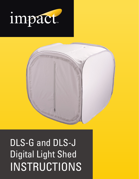



# DLS-G and DLS-J Digital Light Shed INSTRUCTIONS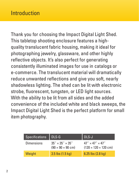#### **Introduction**

Thank you for choosing the Impact Digital Light Shed. This tabletop shooting enclosure features a highquality translucent fabric housing, making it ideal for photographing jewelry, glassware, and other highly reflective objects. It's also perfect for generating consistently illuminated images for use in catalogs or e-commerce. The translucent material will dramatically reduce unwanted reflections and give you soft, nearly shadowless lighting. The shed can be lit with electronic strobe, fluorescent, tungsten, or LED light sources. With the ability to be lit from all sides and the added convenience of the included white and black sweeps, the Impact Digital Light Shed is the perfect platform for small item photography.

| <b>Specifications</b> | DLS-G                                                                   | DLS-J                                                                      |
|-----------------------|-------------------------------------------------------------------------|----------------------------------------------------------------------------|
| Dimensions            | $35'' \times 35'' \times 35''$<br>$(90 \times 90 \times 90 \text{ cm})$ | $47'' \times 47'' \times 47''$<br>$(120 \times 120 \times 120 \text{ cm})$ |
| Weight                | $3.5$ lbs $(1.5 \text{ kg})$                                            | $6.25$ lbs $(2.8 \text{ kg})$                                              |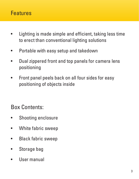#### Features

- Lighting is made simple and efficient, taking less time to erect than conventional lighting solutions
- Portable with easy setup and takedown
- Dual zippered front and top panels for camera lens positioning
- Front panel peels back on all four sides for easy positioning of objects inside

Box Contents:

- Shooting enclosure
- White fabric sweep
- Black fabric sweep
- Storage bag
- User manual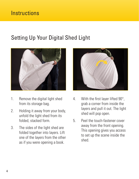### Setting Up Your Digital Shed Light



- 1. Remove the digital light shed from its storage bag.
- 2. Holding it away from your body, unfold the light shed from its folded, stacked form.
- 3. The sides of the light shed are folded together into layers. Lift one of the layers from the other as if you were opening a book.



- 4. With the first layer lifted 90°, grab a corner from inside the layers and pull it out. The light shed will pop open.
- 5. Peel the touch-fastener cover away from the front opening. This opening gives you access to set up the scene inside the shed.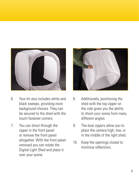

- 6. Your kit also includes white and black sweeps, providing more background choices. They can be secured to the shed with the touch-fastener corners.
- 7. You can shoot through the zipper in the front panel or remove the front panel altogether. With the front panel removed you can rotate the Digital Light Shed and place it over your scene.



- 8. Additionally, positioning the shed with the top zipper on the side gives you the ability to shoot your scene from many different angles.
- 9. The dual zippers allow you to place the camera high, low, or in the middle of the light shed.
- 10. Keep the openings closed to minimize reflections.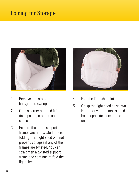### Folding for Storage



- 1. Remove and store the background sweep.
- 2. Grab a corner and fold it into its opposite, creating an L shape.
- 3. Be sure the metal support frames are not twisted before folding. The light shed will not properly collapse if any of the frames are twisted. You can straighten a twisted support frame and continue to fold the light shed.



- 4. Fold the light shed flat.
- 5. Grasp the light shed as shown. Note that your thumbs should be on opposite sides of the unit.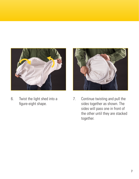

6. Twist the light shed into a figure-eight shape.



7. Continue twisting and pull the sides together as shown. The sides will pass one in front of the other until they are stacked together.